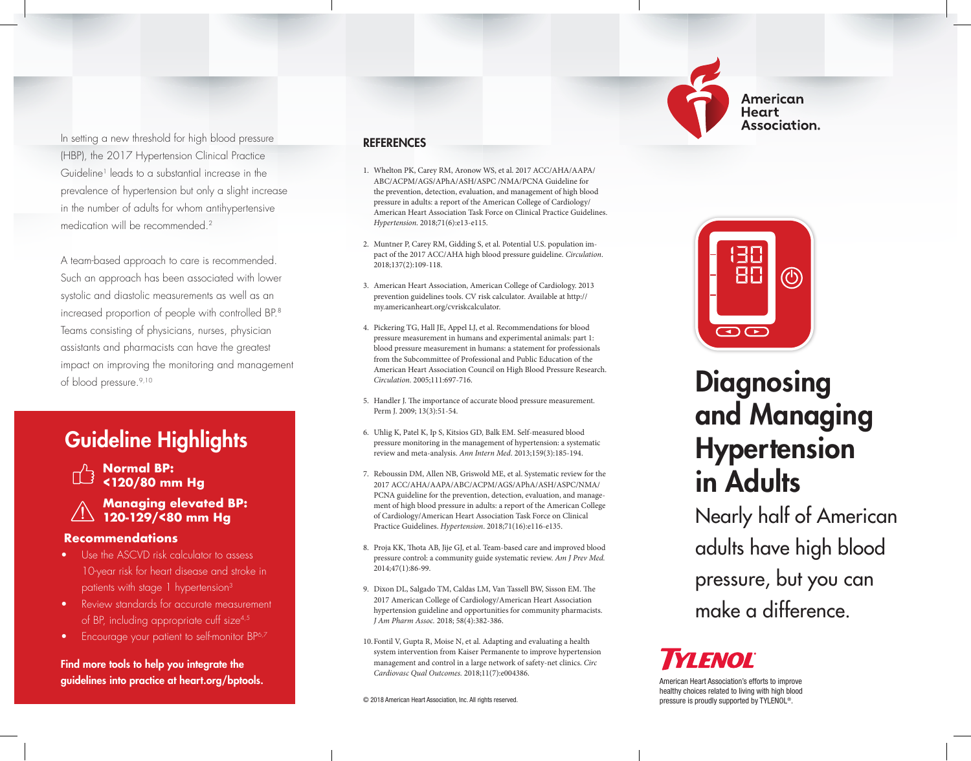

American **Heart** Association.

In setting a new threshold for high blood pressure (HBP), the 2017 Hypertension Clinical Practice Guideline1 leads to a substantial increase in the prevalence of hypertension but only a slight increase in the number of adults for whom antihypertensive medication will be recommended.<sup>2</sup>

A team-based approach to care is recommended. Such an approach has been associated with lower systolic and diastolic measurements as well as an increased proportion of people with controlled BP.8 Teams consisting of physicians, nurses, physician assistants and pharmacists can have the greatest impact on improving the monitoring and management of blood pressure.9,10

### Guideline Highlights

**Normal BP: <120/80 mm Hg**

#### **Managing elevated BP: 120-129/<80 mm Hg**

#### **Recommendations**

- Use the ASCVD risk calculator to assess 10-year risk for heart disease and stroke in patients with stage 1 hypertension<sup>3</sup>
- Review standards for accurate measurement of BP, including appropriate cuff size<sup>4,5</sup>
- Encourage your patient to self-monitor BP<sup>6,7</sup>

Find more tools to help you integrate the guidelines into practice at heart.org/bptools.

#### REFERENCES

- 1. Whelton PK, Carey RM, Aronow WS, et al. 2017 ACC/AHA/AAPA/ ABC/ACPM/AGS/APhA/ASH/ASPC /NMA/PCNA Guideline for the prevention, detection, evaluation, and management of high blood pressure in adults: a report of the American College of Cardiology/ American Heart Association Task Force on Clinical Practice Guidelines. *Hypertension*. 2018;71(6):e13-e115.
- 2. Muntner P, Carey RM, Gidding S, et al. Potential U.S. population impact of the 2017 ACC/AHA high blood pressure guideline. *Circulation*. 2018;137(2):109-118.
- 3. American Heart Association, American College of Cardiology. 2013 prevention guidelines tools. CV risk calculator. Available at http:// my.americanheart.org/cvriskcalculator.
- 4. Pickering TG, Hall JE, Appel LJ, et al. Recommendations for blood pressure measurement in humans and experimental animals: part 1: blood pressure measurement in humans: a statement for professionals from the Subcommittee of Professional and Public Education of the American Heart Association Council on High Blood Pressure Research. *Circulation*. 2005;111:697-716.
- 5. Handler J. The importance of accurate blood pressure measurement. Perm J. 2009; 13(3):51-54.
- 6. Uhlig K, Patel K, Ip S, Kitsios GD, Balk EM. Self-measured blood pressure monitoring in the management of hypertension: a systematic review and meta-analysis. *Ann Intern Med*. 2013;159(3):185-194.
- 7. Reboussin DM, Allen NB, Griswold ME, et al. Systematic review for the 2017 ACC/AHA/AAPA/ABC/ACPM/AGS/APhA/ASH/ASPC/NMA/ PCNA guideline for the prevention, detection, evaluation, and management of high blood pressure in adults: a report of the American College of Cardiology/American Heart Association Task Force on Clinical Practice Guidelines. *Hypertension*. 2018;71(16):e116-e135.
- 8. Proja KK, Thota AB, Jije GJ, et al. Team-based care and improved blood pressure control: a community guide systematic review. *Am J Prev Med.*  2014;47(1):86-99.
- 9. Dixon DL, Salgado TM, Caldas LM, Van Tassell BW, Sisson EM. The 2017 American College of Cardiology/American Heart Association hypertension guideline and opportunities for community pharmacists. *J Am Pharm Assoc.* 2018; 58(4):382-386.
- 10.Fontil V, Gupta R, Moise N, et al. Adapting and evaluating a health system intervention from Kaiser Permanente to improve hypertension management and control in a large network of safety-net clinics. *Circ Cardiovasc Qual Outcomes.* 2018;11(7):e004386.



# **Diagnosing** and Managing **Hypertension** in Adults

Nearly half of American adults have high blood pressure, but you can make a difference.

## **YI ENOL**

American Heart Association's efforts to improve healthy choices related to living with high blood pressure is proudly supported by TYLENOL®.